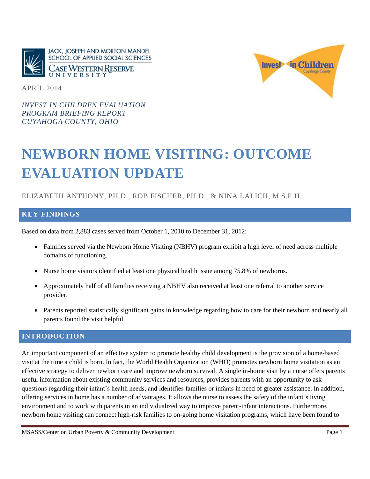



APRIL 2014

*INVEST IN CHILDREN EVALUATION PROGRAM BRIEFING REPORT CUYAHOGA COUNTY, OHIO*

# **NEWBORN HOME VISITING: OUTCOME EVALUATION UPDATE**

## ELIZABETH ANTHONY, PH.D., ROB FISCHER, PH.D., & NINA LALICH, M.S.P.H.

#### **KEY FINDINGS**

Based on data from 2,883 cases served from October 1, 2010 to December 31, 2012:

- Families served via the Newborn Home Visiting (NBHV) program exhibit a high level of need across multiple domains of functioning.
- Nurse home visitors identified at least one physical health issue among 75.8% of newborns.
- Approximately half of all families receiving a NBHV also received at least one referral to another service provider.
- Parents reported statistically significant gains in knowledge regarding how to care for their newborn and nearly all parents found the visit helpful.

#### **INTRODUCTION**

An important component of an effective system to promote healthy child development is the provision of a home-based visit at the time a child is born. In fact, the World Health Organization (WHO) promotes newborn home visitation as an effective strategy to deliver newborn care and improve newborn survival. A single in-home visit by a nurse offers parents useful information about existing community services and resources, provides parents with an opportunity to ask questions regarding their infant's health needs, and identifies families or infants in need of greater assistance. In addition, offering services in home has a number of advantages. It allows the nurse to assess the safety of the infant's living environment and to work with parents in an individualized way to improve parent-infant interactions. Furthermore, newborn home visiting can connect high-risk families to on-going home visitation programs, which have been found to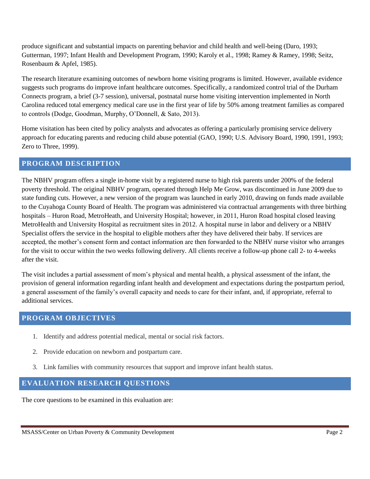produce significant and substantial impacts on parenting behavior and child health and well-being (Daro, 1993; Gutterman, 1997; Infant Health and Development Program, 1990; Karoly et al., 1998; Ramey & Ramey, 1998; Seitz, Rosenbaum & Apfel, 1985).

The research literature examining outcomes of newborn home visiting programs is limited. However, available evidence suggests such programs do improve infant healthcare outcomes. Specifically, a randomized control trial of the Durham Connects program, a brief (3-7 session), universal, postnatal nurse home visiting intervention implemented in North Carolina reduced total emergency medical care use in the first year of life by 50% among treatment families as compared to controls (Dodge, Goodman, Murphy, O'Donnell, & Sato, 2013).

Home visitation has been cited by policy analysts and advocates as offering a particularly promising service delivery approach for educating parents and reducing child abuse potential (GAO, 1990; U.S. Advisory Board, 1990, 1991, 1993; Zero to Three, 1999).

#### **PROGRAM DESCRIPTION**

The NBHV program offers a single in-home visit by a registered nurse to high risk parents under 200% of the federal poverty threshold. The original NBHV program, operated through Help Me Grow, was discontinued in June 2009 due to state funding cuts. However, a new version of the program was launched in early 2010, drawing on funds made available to the Cuyahoga County Board of Health. The program was administered via contractual arrangements with three birthing hospitals – Huron Road, MetroHeath, and University Hospital; however, in 2011, Huron Road hospital closed leaving MetroHealth and University Hospital as recruitment sites in 2012. A hospital nurse in labor and delivery or a NBHV Specialist offers the service in the hospital to eligible mothers after they have delivered their baby. If services are accepted, the mother's consent form and contact information are then forwarded to the NBHV nurse visitor who arranges for the visit to occur within the two weeks following delivery. All clients receive a follow-up phone call 2- to 4-weeks after the visit.

The visit includes a partial assessment of mom's physical and mental health, a physical assessment of the infant, the provision of general information regarding infant health and development and expectations during the postpartum period, a general assessment of the family's overall capacity and needs to care for their infant, and, if appropriate, referral to additional services.

## **PROGRAM OBJECTIVES**

- 1. Identify and address potential medical, mental or social risk factors.
- 2. Provide education on newborn and postpartum care.
- 3. Link families with community resources that support and improve infant health status.

## **EVALUATION RESEARCH QUESTIONS**

The core questions to be examined in this evaluation are: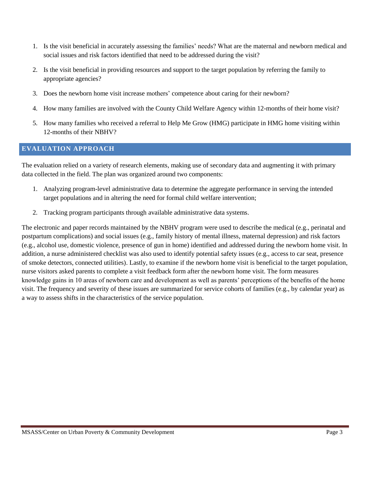- 1. Is the visit beneficial in accurately assessing the families' needs? What are the maternal and newborn medical and social issues and risk factors identified that need to be addressed during the visit?
- 2. Is the visit beneficial in providing resources and support to the target population by referring the family to appropriate agencies?
- 3. Does the newborn home visit increase mothers' competence about caring for their newborn?
- 4. How many families are involved with the County Child Welfare Agency within 12-months of their home visit?
- 5. How many families who received a referral to Help Me Grow (HMG) participate in HMG home visiting within 12-months of their NBHV?

#### **EVALUATION APPROACH**

The evaluation relied on a variety of research elements, making use of secondary data and augmenting it with primary data collected in the field. The plan was organized around two components:

- 1. Analyzing program-level administrative data to determine the aggregate performance in serving the intended target populations and in altering the need for formal child welfare intervention;
- 2. Tracking program participants through available administrative data systems.

The electronic and paper records maintained by the NBHV program were used to describe the medical (e.g., perinatal and postpartum complications) and social issues (e.g., family history of mental illness, maternal depression) and risk factors (e.g., alcohol use, domestic violence, presence of gun in home) identified and addressed during the newborn home visit. In addition, a nurse administered checklist was also used to identify potential safety issues (e.g., access to car seat, presence of smoke detectors, connected utilities). Lastly, to examine if the newborn home visit is beneficial to the target population, nurse visitors asked parents to complete a visit feedback form after the newborn home visit. The form measures knowledge gains in 10 areas of newborn care and development as well as parents' perceptions of the benefits of the home visit. The frequency and severity of these issues are summarized for service cohorts of families (e.g., by calendar year) as a way to assess shifts in the characteristics of the service population.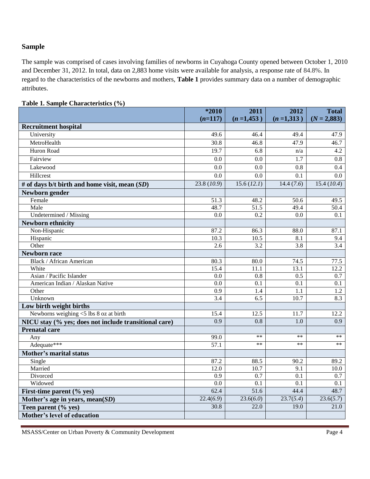#### **Sample**

The sample was comprised of cases involving families of newborns in Cuyahoga County opened between October 1, 2010 and December 31, 2012. In total, data on 2,883 home visits were available for analysis, a response rate of 84.8%. In regard to the characteristics of the newborns and mothers, **Table 1** provides summary data on a number of demographic attributes.

|                                                              | $*2010$                 | 2011              | 2012             | <b>Total</b>     |
|--------------------------------------------------------------|-------------------------|-------------------|------------------|------------------|
|                                                              | $(n=117)$               | $(n=1,453)$       | $(n=1,313)$      | $(N = 2,883)$    |
| <b>Recruitment hospital</b>                                  |                         |                   |                  |                  |
| University                                                   | 49.6                    | 46.4              | 49.4             | 47.9             |
| MetroHealth                                                  | 30.8                    | 46.8              | 47.9             | 46.7             |
| Huron Road                                                   | 19.7                    | 6.8               | n/a              | 4.2              |
| Fairview                                                     | 0.0                     | 0.0               | 1.7              | $\overline{0.8}$ |
| Lakewood                                                     | $\overline{0.0}$        | 0.0               | 0.8              | $\overline{0.4}$ |
| Hillcrest                                                    | $\overline{0.0}$        | $\overline{0.0}$  | $\overline{0.1}$ | $\overline{0.0}$ |
| # of days b/t birth and home visit, mean (SD)                | 23.8(10.9)              | 15.6 (12.1)       | 14.4(7.6)        | 15.4(10.4)       |
| Newborn gender                                               |                         |                   |                  |                  |
| Female                                                       | 51.3                    | 48.2              | 50.6             | 49.5             |
| Male                                                         | 48.7                    | 51.5              | 49.4             | 50.4             |
| Undetermined / Missing                                       | $\overline{0.0}$        | $\overline{0.2}$  | $\overline{0.0}$ | 0.1              |
| <b>Newborn ethnicity</b>                                     |                         |                   |                  |                  |
| Non-Hispanic                                                 | 87.2                    | 86.3              | 88.0             | 87.1             |
| Hispanic                                                     | 10.3                    | 10.5              | 8.1              | 9.4              |
| Other                                                        | 2.6                     | 3.2               | 3.8              | 3.4              |
| <b>Newborn race</b>                                          |                         |                   |                  |                  |
| <b>Black / African American</b>                              | 80.3                    | 80.0              | 74.5             | 77.5             |
| White                                                        | 15.4                    | 11.1              | 13.1             | 12.2             |
| Asian / Pacific Islander                                     | 0.0                     | 0.8               | 0.5              | 0.7              |
| American Indian / Alaskan Native                             | $\overline{0.0}$        | 0.1               | 0.1              | 0.1              |
| Other                                                        | 0.9                     | 1.4               | 1.1              | 1.2              |
| Unknown                                                      | $\overline{3.4}$        | $\overline{6.5}$  | 10.7             | 8.3              |
| Low birth weight births                                      |                         |                   |                  |                  |
| Newborns weighing $<$ 5 lbs 8 oz at birth                    | 15.4                    | 12.5              | 11.7             | 12.2             |
| NICU stay (% yes; does not include transitional care)        | 0.9                     | 0.8               | 1.0              | 0.9              |
| <b>Prenatal care</b>                                         |                         | $**$              | $**$             | $**$             |
| Any<br>Adequate***                                           | 99.0<br>57.1            | $**$              | $**$             | $**$             |
|                                                              |                         |                   |                  |                  |
| <b>Mother's marital status</b>                               |                         |                   |                  |                  |
| Single                                                       | 87.2                    | 88.5              | 90.2             | 89.2             |
| Married                                                      | 12.0                    | 10.7              | 9.1              | 10.0             |
| Divorced<br>Widowed                                          | 0.9<br>$\overline{0.0}$ | 0.7<br>0.1        | 0.1<br>0.1       | 0.7<br>0.1       |
|                                                              | 62.4                    | $\overline{51.6}$ | 44.4             | 48.7             |
| First-time parent (% yes)<br>Mother's age in years, mean(SD) | 22.4(6.9)               | 23.6(6.0)         | 23.7(5.4)        | 23.6(5.7)        |
| Teen parent (% yes)                                          | 30.8                    | 22.0              | 19.0             | 21.0             |
| Mother's level of education                                  |                         |                   |                  |                  |
|                                                              |                         |                   |                  |                  |

#### **Table 1. Sample Characteristics (%)**

MSASS/Center on Urban Poverty & Community Development Page 4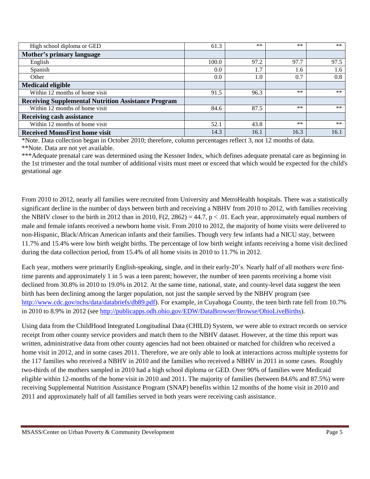| High school diploma or GED                                 | 61.3  | $**$ | $**$  | $***$ |
|------------------------------------------------------------|-------|------|-------|-------|
| Mother's primary language                                  |       |      |       |       |
| English                                                    | 100.0 | 97.2 | 97.7  | 97.5  |
| Spanish                                                    | 0.0   | 1.7  | 1.6   | 1.6   |
| Other                                                      | 0.0   | 1.0  | 0.7   | 0.8   |
| <b>Medicaid eligible</b>                                   |       |      |       |       |
| Within 12 months of home visit                             | 91.5  | 96.3 | $***$ | $***$ |
| <b>Receiving Supplemental Nutrition Assistance Program</b> |       |      |       |       |
| Within 12 months of home visit                             | 84.6  | 87.5 | $**$  | $***$ |
| <b>Receiving cash assistance</b>                           |       |      |       |       |
| Within 12 months of home visit                             | 52.1  | 43.8 | $***$ | $**$  |
| <b>Received MomsFirst home visit</b>                       | 14.3  | 16.1 | 16.3  | 16.1  |

\*Note. Data collection began in October 2010; therefore, column percentages reflect 3, not 12 months of data. \*\*Note. Data are not yet available.

\*\*\*Adequate prenatal care was determined using the Kessner Index, which defines adequate prenatal care as beginning in the 1st trimester and the total number of additional visits must meet or exceed that which would be expected for the child's gestational age.

From 2010 to 2012, nearly all families were recruited from University and MetroHealth hospitals. There was a statistically significant decline in the number of days between birth and receiving a NBHV from 2010 to 2012, with families receiving the NBHV closer to the birth in 2012 than in 2010,  $F(2, 2862) = 44.7$ ,  $p < .01$ . Each year, approximately equal numbers of male and female infants received a newborn home visit. From 2010 to 2012, the majority of home visits were delivered to non-Hispanic, Black/African American infants and their families. Though very few infants had a NICU stay, between 11.7% and 15.4% were low birth weight births. The percentage of low birth weight infants receiving a home visit declined during the data collection period, from 15.4% of all home visits in 2010 to 11.7% in 2012.

Each year, mothers were primarily English-speaking, single, and in their early-20's. Nearly half of all mothers were firsttime parents and approximately 1 in 5 was a teen parent; however, the number of teen parents receiving a home visit declined from 30.8% in 2010 to 19.0% in 2012. At the same time, national, state, and county-level data suggest the teen birth has been declining among the larger population, not just the sample served by the NBHV program (see [http://www.cdc.gov/nchs/data/databriefs/db89.pdf\)](http://www.cdc.gov/nchs/data/databriefs/db89.pdf). For example, in Cuyahoga County, the teen birth rate fell from 10.7% in 2010 to 8.9% in 2012 (see [http://publicapps.odh.ohio.gov/EDW/DataBrowser/Browse/OhioLiveBirths\)](http://publicapps.odh.ohio.gov/EDW/DataBrowser/Browse/OhioLiveBirths).

Using data from the ChildHood Integrated Longitudinal Data (CHILD) System, we were able to extract records on service receipt from other county service providers and match them to the NBHV dataset. However, at the time this report was written, administrative data from other county agencies had not been obtained or matched for children who received a home visit in 2012, and in some cases 2011. Therefore, we are only able to look at interactions across multiple systems for the 117 families who received a NBHV in 2010 and the families who received a NBHV in 2011 in some cases. Roughly two-thirds of the mothers sampled in 2010 had a high school diploma or GED. Over 90% of families were Medicaid eligible within 12-months of the home visit in 2010 and 2011. The majority of families (between 84.6% and 87.5%) were receiving Supplemental Nutrition Assistance Program (SNAP) benefits within 12 months of the home visit in 2010 and 2011 and approximately half of all families served in both years were receiving cash assistance.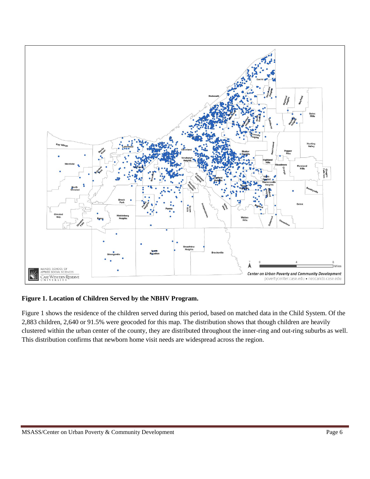

#### **Figure 1. Location of Children Served by the NBHV Program.**

Figure 1 shows the residence of the children served during this period, based on matched data in the Child System. Of the 2,883 children, 2,640 or 91.5% were geocoded for this map. The distribution shows that though children are heavily clustered within the urban center of the county, they are distributed throughout the inner-ring and out-ring suburbs as well. This distribution confirms that newborn home visit needs are widespread across the region.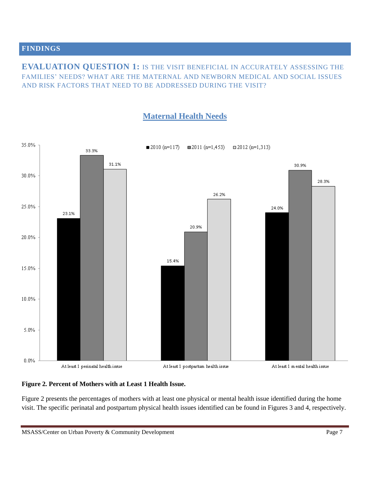#### **FINDINGS**

**EVALUATION QUESTION 1:** IS THE VISIT BENEFICIAL IN ACCURATELY ASSESSING THE FAMILIES' NEEDS? WHAT ARE THE MATERNAL AND NEWBORN MEDICAL AND SOCIAL ISSUES AND RISK FACTORS THAT NEED TO BE ADDRESSED DURING THE VISIT?

# **Maternal Health Needs**



#### **Figure 2***.* **Percent of Mothers with at Least 1 Health Issue.**

Figure 2 presents the percentages of mothers with at least one physical or mental health issue identified during the home visit. The specific perinatal and postpartum physical health issues identified can be found in Figures 3 and 4, respectively.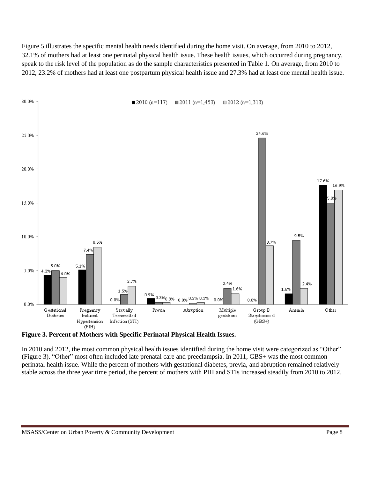Figure 5 illustrates the specific mental health needs identified during the home visit. On average, from 2010 to 2012, 32.1% of mothers had at least one perinatal physical health issue. These health issues, which occurred during pregnancy, speak to the risk level of the population as do the sample characteristics presented in Table 1. On average, from 2010 to 2012, 23.2% of mothers had at least one postpartum physical health issue and 27.3% had at least one mental health issue.



**Figure 3. Percent of Mothers with Specific Perinatal Physical Health Issues.**

In 2010 and 2012, the most common physical health issues identified during the home visit were categorized as "Other" (Figure 3). "Other" most often included late prenatal care and preeclampsia. In 2011, GBS+ was the most common perinatal health issue. While the percent of mothers with gestational diabetes, previa, and abruption remained relatively stable across the three year time period, the percent of mothers with PIH and STIs increased steadily from 2010 to 2012.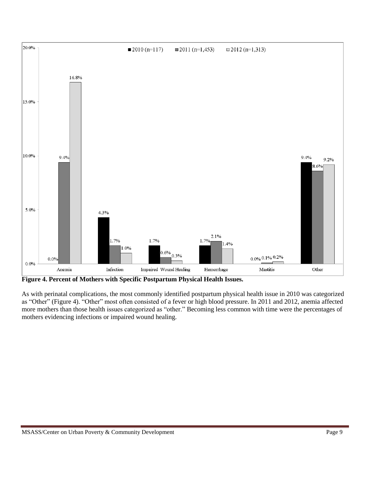

**Figure 4. Percent of Mothers with Specific Postpartum Physical Health Issues.**

As with perinatal complications, the most commonly identified postpartum physical health issue in 2010 was categorized as "Other" (Figure 4). "Other" most often consisted of a fever or high blood pressure. In 2011 and 2012, anemia affected more mothers than those health issues categorized as "other." Becoming less common with time were the percentages of mothers evidencing infections or impaired wound healing.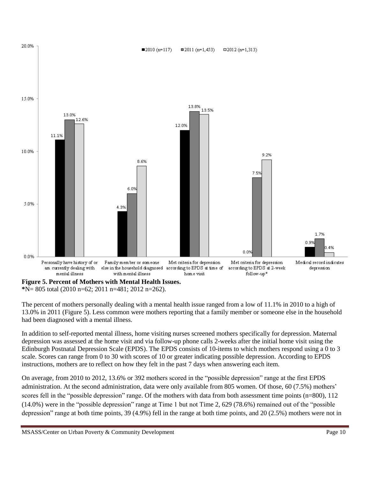

**\***N= 805 total (2010 n=62; 2011 n=481; 2012 n=262).

The percent of mothers personally dealing with a mental health issue ranged from a low of 11.1% in 2010 to a high of 13.0% in 2011 (Figure 5). Less common were mothers reporting that a family member or someone else in the household had been diagnosed with a mental illness.

In addition to self-reported mental illness, home visiting nurses screened mothers specifically for depression. Maternal depression was assessed at the home visit and via follow-up phone calls 2-weeks after the initial home visit using the Edinburgh Postnatal Depression Scale (EPDS). The EPDS consists of 10-items to which mothers respond using a 0 to 3 scale. Scores can range from 0 to 30 with scores of 10 or greater indicating possible depression. According to EPDS instructions, mothers are to reflect on how they felt in the past 7 days when answering each item.

On average, from 2010 to 2012, 13.6% or 392 mothers scored in the "possible depression" range at the first EPDS administration. At the second administration, data were only available from 805 women. Of those, 60 (7.5%) mothers' scores fell in the "possible depression" range. Of the mothers with data from both assessment time points (n=800), 112 (14.0%) were in the "possible depression" range at Time 1 but not Time 2, 629 (78.6%) remained out of the "possible depression" range at both time points, 39 (4.9%) fell in the range at both time points, and 20 (2.5%) mothers were not in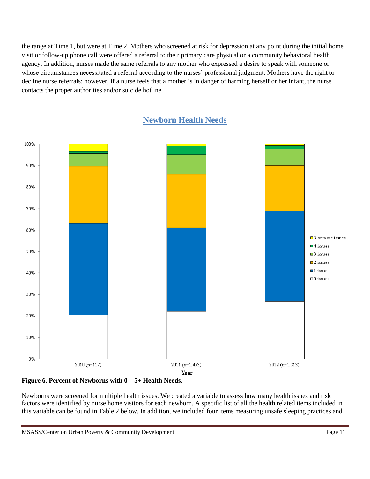the range at Time 1, but were at Time 2. Mothers who screened at risk for depression at any point during the initial home visit or follow-up phone call were offered a referral to their primary care physical or a community behavioral health agency. In addition, nurses made the same referrals to any mother who expressed a desire to speak with someone or whose circumstances necessitated a referral according to the nurses' professional judgment. Mothers have the right to decline nurse referrals; however, if a nurse feels that a mother is in danger of harming herself or her infant, the nurse contacts the proper authorities and/or suicide hotline.



# **Newborn Health Needs**

#### **Figure 6. Percent of Newborns with 0 – 5+ Health Needs.**

Newborns were screened for multiple health issues. We created a variable to assess how many health issues and risk factors were identified by nurse home visitors for each newborn. A specific list of all the health related items included in this variable can be found in Table 2 below. In addition, we included four items measuring unsafe sleeping practices and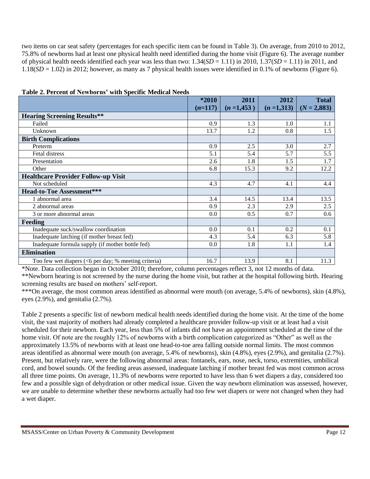two items on car seat safety (percentages for each specific item can be found in Table 3). On average, from 2010 to 2012, 75.8% of newborns had at least one physical health need identified during the home visit (Figure 6). The average number of physical health needs identified each year was less than two:  $1.34(SD = 1.11)$  in  $2010$ ,  $1.37(SD = 1.11)$  in  $2011$ , and 1.18(*SD* = 1.02) in 2012; however, as many as 7 physical health issues were identified in 0.1% of newborns (Figure 6).

|                                                      | *2010     | 2011        | 2012        | <b>Total</b>  |
|------------------------------------------------------|-----------|-------------|-------------|---------------|
|                                                      | $(n=117)$ | $(n=1,453)$ | $(n=1,313)$ | $(N = 2,883)$ |
| <b>Hearing Screening Results**</b>                   |           |             |             |               |
| Failed                                               | 0.9       | 1.3         | 1.0         | 1.1           |
| Unknown                                              | 13.7      | 1.2         | 0.8         | 1.5           |
| <b>Birth Complications</b>                           |           |             |             |               |
| Preterm                                              | 0.9       | 2.5         | 3.0         | 2.7           |
| Fetal distress                                       | 5.1       | 5.4         | 5.7         | 5.5           |
| Presentation                                         | 2.6       | 1.8         | 1.5         | 1.7           |
| Other                                                | 6.8       | 15.3        | 9.2         | 12.2          |
| <b>Healthcare Provider Follow-up Visit</b>           |           |             |             |               |
| Not scheduled                                        | 4.3       | 4.7         | 4.1         | 4.4           |
| <b>Head-to-Toe Assessment***</b>                     |           |             |             |               |
| 1 abnormal area                                      | 3.4       | 14.5        | 13.4        | 13.5          |
| 2 abnormal areas                                     | 0.9       | 2.3         | 2.9         | 2.5           |
| 3 or more abnormal areas                             | 0.0       | 0.5         | 0.7         | 0.6           |
| <b>Feeding</b>                                       |           |             |             |               |
| Inadequate suck/swallow coordination                 | 0.0       | 0.1         | 0.2         | 0.1           |
| Inadequate latching (if mother breast fed)           | 4.3       | 5.4         | 6.3         | 5.8           |
| Inadequate formula supply (if mother bottle fed)     | $0.0\,$   | 1.8         | 1.1         | 1.4           |
| <b>Elimination</b>                                   |           |             |             |               |
| Too few wet diapers (<6 per day; % meeting criteria) | 16.7      | 13.9        | 8.1         | 11.3          |

| Table 2. Percent of Newborns' with Specific Medical Needs |
|-----------------------------------------------------------|
|-----------------------------------------------------------|

\*Note. Data collection began in October 2010; therefore, column percentages reflect 3, not 12 months of data.

\*\*Newborn hearing is not screened by the nurse during the home visit, but rather at the hospital following birth. Hearing screening results are based on mothers' self-report.

\*\*\*On average, the most common areas identified as abnormal were mouth (on average, 5.4% of newborns), skin (4.8%), eyes (2.9%), and genitalia (2.7%).

Table 2 presents a specific list of newborn medical health needs identified during the home visit. At the time of the home visit, the vast majority of mothers had already completed a healthcare provider follow-up visit or at least had a visit scheduled for their newborn. Each year, less than 5% of infants did not have an appointment scheduled at the time of the home visit. Of note are the roughly 12% of newborns with a birth complication categorized as "Other" as well as the approximately 13.5% of newborns with at least one head-to-toe area falling outside normal limits. The most common areas identified as abnormal were mouth (on average, 5.4% of newborns), skin (4.8%), eyes (2.9%), and genitalia (2.7%). Present, but relatively rare, were the following abnormal areas: fontanels, ears, nose, neck, torso, extremities, umbilical cord, and bowel sounds. Of the feeding areas assessed, inadequate latching if mother breast fed was most common across all three time points. On average, 11.3% of newborns were reported to have less than 6 wet diapers a day, considered too few and a possible sign of dehydration or other medical issue. Given the way newborn elimination was assessed, however, we are unable to determine whether these newborns actually had too few wet diapers or were not changed when they had a wet diaper.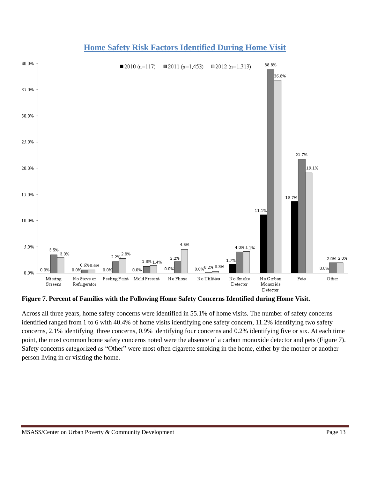

# **Home Safety Risk Factors Identified During Home Visit**

**Figure 7. Percent of Families with the Following Home Safety Concerns Identified during Home Visit.**

Across all three years, home safety concerns were identified in 55.1% of home visits. The number of safety concerns identified ranged from 1 to 6 with 40.4% of home visits identifying one safety concern, 11.2% identifying two safety concerns, 2.1% identifying three concerns, 0.9% identifying four concerns and 0.2% identifying five or six. At each time point, the most common home safety concerns noted were the absence of a carbon monoxide detector and pets (Figure 7). Safety concerns categorized as "Other" were most often cigarette smoking in the home, either by the mother or another person living in or visiting the home.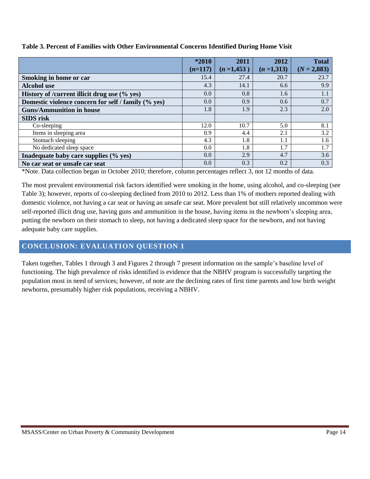|                                                     | *2010     | 2011        | 2012        | <b>Total</b>  |
|-----------------------------------------------------|-----------|-------------|-------------|---------------|
|                                                     | $(n=117)$ | $(n=1,453)$ | $(n=1,313)$ | $(N = 2,883)$ |
| Smoking in home or car                              | 15.4      | 27.4        | 20.7        | 23.7          |
| <b>Alcohol</b> use                                  | 4.3       | 14.1        | 6.6         | 9.9           |
| History of /current illicit drug use (% yes)        | 0.0       | 0.8         | 1.6         | 1.1           |
| Domestic violence concern for self / family (% yes) | 0.0       | 0.9         | 0.6         | 0.7           |
| <b>Guns/Ammunition in house</b>                     | 1.8       | 1.9         | 2.3         | 2.0           |
| <b>SIDS</b> risk                                    |           |             |             |               |
| Co-sleeping                                         | 12.0      | 10.7        | 5.0         | 8.1           |
| Items in sleeping area                              | 0.9       | 4.4         | 2.1         | 3.2           |
| Stomach sleeping                                    | 4.3       | 1.8         | 1.1         | 1.6           |
| No dedicated sleep space                            | 0.0       | 1.8         | 1.7         | 1.7           |
| Inadequate baby care supplies (% yes)               | 0.0       | 2.9         | 4.7         | 3.6           |
| No car seat or unsafe car seat                      | 0.0       | 0.3         | 0.2         | 0.3           |

#### **Table 3. Percent of Families with Other Environmental Concerns Identified During Home Visit**

\*Note. Data collection began in October 2010; therefore, column percentages reflect 3, not 12 months of data.

The most prevalent environmental risk factors identified were smoking in the home, using alcohol, and co-sleeping (see Table 3); however, reports of co-sleeping declined from 2010 to 2012. Less than 1% of mothers reported dealing with domestic violence, not having a car seat or having an unsafe car seat. More prevalent but still relatively uncommon were self-reported illicit drug use, having guns and ammunition in the house, having items in the newborn's sleeping area, putting the newborn on their stomach to sleep, not having a dedicated sleep space for the newborn, and not having adequate baby care supplies.

# **CONCLUSION: EVALUATION QUESTION 1**

Taken together, Tables 1 through 3 and Figures 2 through 7 present information on the sample's baseline level of functioning. The high prevalence of risks identified is evidence that the NBHV program is successfully targeting the population most in need of services; however, of note are the declining rates of first time parents and low birth weight newborns, presumably higher risk populations, receiving a NBHV.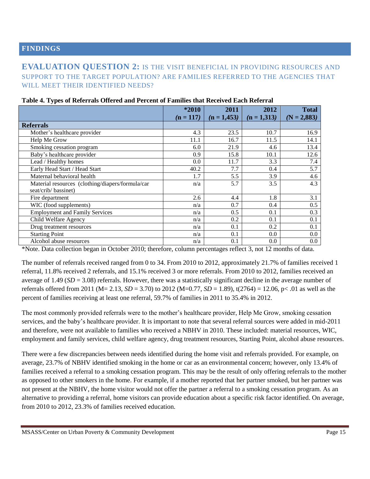#### **FINDINGS**

## **EVALUATION QUESTION 2:** IS THE VISIT BENEFICIAL IN PROVIDING RESOURCES AND SUPPORT TO THE TARGET POPULATION? ARE FAMILIES REFERRED TO THE AGENCIES THAT WILL MEET THEIR IDENTIFIED NEEDS?

|                                                  | *2010       | 2011          | 2012          | <b>Total</b>  |
|--------------------------------------------------|-------------|---------------|---------------|---------------|
|                                                  | $(n = 117)$ | $(n = 1,453)$ | $(n = 1,313)$ | $(N = 2,883)$ |
| <b>Referrals</b>                                 |             |               |               |               |
| Mother's healthcare provider                     | 4.3         | 23.5          | 10.7          | 16.9          |
| Help Me Grow                                     | 11.1        | 16.7          | 11.5          | 14.1          |
| Smoking cessation program                        | 6.0         | 21.9          | 4.6           | 13.4          |
| Baby's healthcare provider                       | 0.9         | 15.8          | 10.1          | 12.6          |
| Lead / Healthy homes                             | 0.0         | 11.7          | 3.3           | 7.4           |
| Early Head Start / Head Start                    | 40.2        | 7.7           | 0.4           | 5.7           |
| Maternal behavioral health                       | 1.7         | 5.5           | 3.9           | 4.6           |
| Material resources (clothing/diapers/formula/car | n/a         | 5.7           | 3.5           | 4.3           |
| seat/crib/ bassinet)                             |             |               |               |               |
| Fire department                                  | 2.6         | 4.4           | 1.8           | 3.1           |
| WIC (food supplements)                           | n/a         | 0.7           | 0.4           | 0.5           |
| <b>Employment and Family Services</b>            | n/a         | 0.5           | 0.1           | 0.3           |
| Child Welfare Agency                             | n/a         | 0.2           | 0.1           | 0.1           |
| Drug treatment resources                         | n/a         | 0.1           | 0.2           | 0.1           |
| <b>Starting Point</b>                            | n/a         | 0.1           | 0.0           | 0.0           |
| Alcohol abuse resources                          | n/a         | 0.1           | 0.0           | 0.0           |

#### **Table 4. Types of Referrals Offered and Percent of Families that Received Each Referral**

\*Note. Data collection began in October 2010; therefore, column percentages reflect 3, not 12 months of data.

The number of referrals received ranged from 0 to 34. From 2010 to 2012, approximately 21.7% of families received 1 referral, 11.8% received 2 referrals, and 15.1% received 3 or more referrals. From 2010 to 2012, families received an average of 1.49 (*SD* = 3.08) referrals. However, there was a statistically significant decline in the average number of referrals offered from 2011 (M= 2.13, *SD* = 3.70) to 2012 (M=0.77, *SD* = 1.89), t(2764) = 12.06, p< .01 as well as the percent of families receiving at least one referral, 59.7% of families in 2011 to 35.4% in 2012.

The most commonly provided referrals were to the mother's healthcare provider, Help Me Grow, smoking cessation services, and the baby's healthcare provider. It is important to note that several referral sources were added in mid-2011 and therefore, were not available to families who received a NBHV in 2010. These included: material resources, WIC, employment and family services, child welfare agency, drug treatment resources, Starting Point, alcohol abuse resources.

There were a few discrepancies between needs identified during the home visit and referrals provided. For example, on average, 23.7% of NBHV identified smoking in the home or car as an environmental concern; however, only 13.4% of families received a referral to a smoking cessation program. This may be the result of only offering referrals to the mother as opposed to other smokers in the home. For example, if a mother reported that her partner smoked, but her partner was not present at the NBHV, the home visitor would not offer the partner a referral to a smoking cessation program. As an alternative to providing a referral, home visitors can provide education about a specific risk factor identified. On average, from 2010 to 2012, 23.3% of families received education.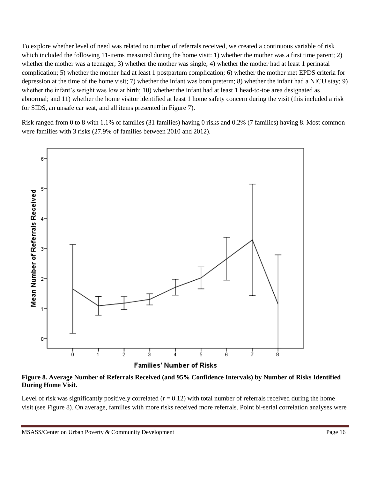To explore whether level of need was related to number of referrals received, we created a continuous variable of risk which included the following 11-items measured during the home visit: 1) whether the mother was a first time parent; 2) whether the mother was a teenager; 3) whether the mother was single; 4) whether the mother had at least 1 perinatal complication; 5) whether the mother had at least 1 postpartum complication; 6) whether the mother met EPDS criteria for depression at the time of the home visit; 7) whether the infant was born preterm; 8) whether the infant had a NICU stay; 9) whether the infant's weight was low at birth; 10) whether the infant had at least 1 head-to-toe area designated as abnormal; and 11) whether the home visitor identified at least 1 home safety concern during the visit (this included a risk for SIDS, an unsafe car seat, and all items presented in Figure 7).

Risk ranged from 0 to 8 with 1.1% of families (31 families) having 0 risks and 0.2% (7 families) having 8. Most common were families with 3 risks (27.9% of families between 2010 and 2012).



**Families' Number of Risks** 

**Figure 8***.* **Average Number of Referrals Received (and 95% Confidence Intervals) by Number of Risks Identified During Home Visit.**

Level of risk was significantly positively correlated  $(r = 0.12)$  with total number of referrals received during the home visit (see Figure 8). On average, families with more risks received more referrals. Point bi-serial correlation analyses were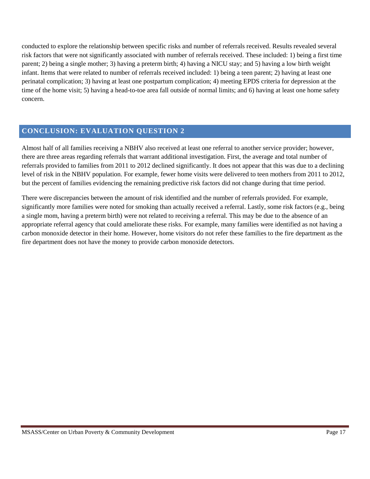conducted to explore the relationship between specific risks and number of referrals received. Results revealed several risk factors that were not significantly associated with number of referrals received. These included: 1) being a first time parent; 2) being a single mother; 3) having a preterm birth; 4) having a NICU stay; and 5) having a low birth weight infant. Items that were related to number of referrals received included: 1) being a teen parent; 2) having at least one perinatal complication; 3) having at least one postpartum complication; 4) meeting EPDS criteria for depression at the time of the home visit; 5) having a head-to-toe area fall outside of normal limits; and 6) having at least one home safety concern.

## **CONCLUSION: EVALUATION QUESTION 2**

Almost half of all families receiving a NBHV also received at least one referral to another service provider; however, there are three areas regarding referrals that warrant additional investigation. First, the average and total number of referrals provided to families from 2011 to 2012 declined significantly. It does not appear that this was due to a declining level of risk in the NBHV population. For example, fewer home visits were delivered to teen mothers from 2011 to 2012, but the percent of families evidencing the remaining predictive risk factors did not change during that time period.

There were discrepancies between the amount of risk identified and the number of referrals provided. For example, significantly more families were noted for smoking than actually received a referral. Lastly, some risk factors (e.g., being a single mom, having a preterm birth) were not related to receiving a referral. This may be due to the absence of an appropriate referral agency that could ameliorate these risks. For example, many families were identified as not having a carbon monoxide detector in their home. However, home visitors do not refer these families to the fire department as the fire department does not have the money to provide carbon monoxide detectors.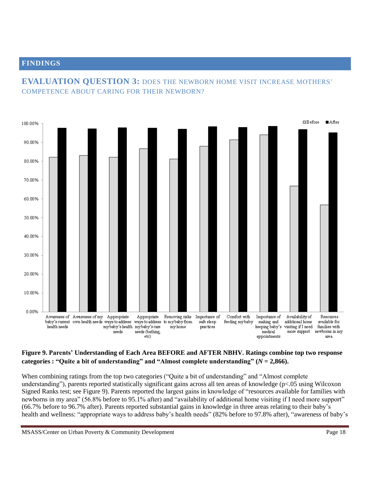### **FINDINGS**



# **EVALUATION QUESTION 3:** DOES THE NEWBORN HOME VISIT INCREASE MOTHERS' COMPETENCE ABOUT CARING FOR THEIR NEWBORN?

#### **Figure 9. Parents' Understanding of Each Area BEFORE and AFTER NBHV. Ratings combine top two response categories : "Quite a bit of understanding" and "Almost complete understanding" (***N* **= 2,866).**

When combining ratings from the top two categories ("Quite a bit of understanding" and "Almost complete understanding"), parents reported statistically significant gains across all ten areas of knowledge (p<.05 using Wilcoxon Signed Ranks test; see Figure 9). Parents reported the largest gains in knowledge of "resources available for families with newborns in my area" (56.8% before to 95.1% after) and "availability of additional home visiting if I need more support" (66.7% before to 96.7% after). Parents reported substantial gains in knowledge in three areas relating to their baby's health and wellness: "appropriate ways to address baby's health needs" (82% before to 97.8% after), "awareness of baby's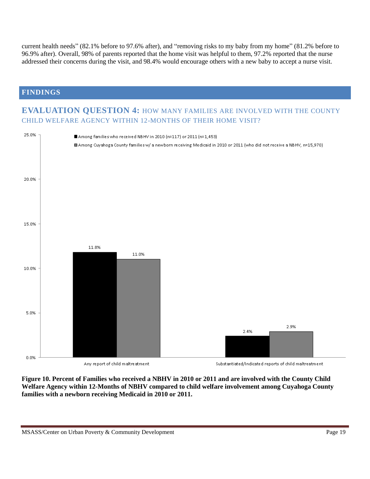current health needs" (82.1% before to 97.6% after), and "removing risks to my baby from my home" (81.2% before to 96.9% after). Overall, 98% of parents reported that the home visit was helpful to them, 97.2% reported that the nurse addressed their concerns during the visit, and 98.4% would encourage others with a new baby to accept a nurse visit.

#### **FINDINGS**

# **EVALUATION QUESTION 4:** HOW MANY FAMILIES ARE INVOLVED WITH THE COUNTY CHILD WELFARE AGENCY WITHIN 12-MONTHS OF THEIR HOME VISIT?



**Figure 10. Percent of Families who received a NBHV in 2010 or 2011 and are involved with the County Child Welfare Agency within 12-Months of NBHV compared to child welfare involvement among Cuyahoga County families with a newborn receiving Medicaid in 2010 or 2011.**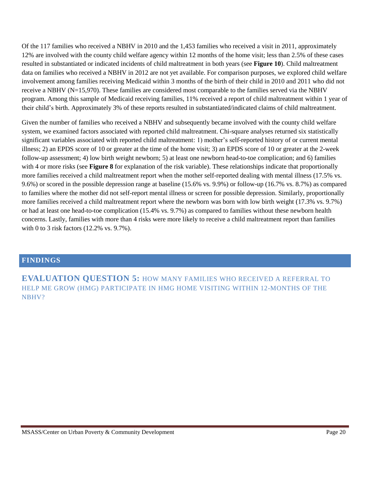Of the 117 families who received a NBHV in 2010 and the 1,453 families who received a visit in 2011, approximately 12% are involved with the county child welfare agency within 12 months of the home visit; less than 2.5% of these cases resulted in substantiated or indicated incidents of child maltreatment in both years (see **Figure 10**). Child maltreatment data on families who received a NBHV in 2012 are not yet available. For comparison purposes, we explored child welfare involvement among families receiving Medicaid within 3 months of the birth of their child in 2010 and 2011 who did not receive a NBHV (N=15,970). These families are considered most comparable to the families served via the NBHV program. Among this sample of Medicaid receiving families, 11% received a report of child maltreatment within 1 year of their child's birth. Approximately 3% of these reports resulted in substantiated/indicated claims of child maltreatment.

Given the number of families who received a NBHV and subsequently became involved with the county child welfare system, we examined factors associated with reported child maltreatment. Chi-square analyses returned six statistically significant variables associated with reported child maltreatment: 1) mother's self-reported history of or current mental illness; 2) an EPDS score of 10 or greater at the time of the home visit; 3) an EPDS score of 10 or greater at the 2-week follow-up assessment; 4) low birth weight newborn; 5) at least one newborn head-to-toe complication; and 6) families with 4 or more risks (see **Figure 8** for explanation of the risk variable). These relationships indicate that proportionally more families received a child maltreatment report when the mother self-reported dealing with mental illness (17.5% vs. 9.6%) or scored in the possible depression range at baseline (15.6% vs. 9.9%) or follow-up (16.7% vs. 8.7%) as compared to families where the mother did not self-report mental illness or screen for possible depression. Similarly, proportionally more families received a child maltreatment report where the newborn was born with low birth weight (17.3% vs. 9.7%) or had at least one head-to-toe complication (15.4% vs. 9.7%) as compared to families without these newborn health concerns. Lastly, families with more than 4 risks were more likely to receive a child maltreatment report than families with 0 to 3 risk factors (12.2% vs. 9.7%).

#### **FINDINGS**

**EVALUATION QUESTION 5:** HOW MANY FAMILIES WHO RECEIVED A REFERRAL TO HELP ME GROW (HMG) PARTICIPATE IN HMG HOME VISITING WITHIN 12-MONTHS OF THE NBHV?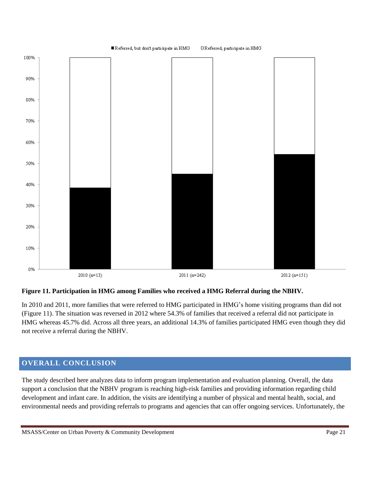

#### **Figure 11. Participation in HMG among Families who received a HMG Referral during the NBHV.**

In 2010 and 2011, more families that were referred to HMG participated in HMG's home visiting programs than did not (Figure 11). The situation was reversed in 2012 where 54.3% of families that received a referral did not participate in HMG whereas 45.7% did. Across all three years, an additional 14.3% of families participated HMG even though they did not receive a referral during the NBHV.

## **OVERALL CONCLUSION**

The study described here analyzes data to inform program implementation and evaluation planning. Overall, the data support a conclusion that the NBHV program is reaching high-risk families and providing information regarding child development and infant care. In addition, the visits are identifying a number of physical and mental health, social, and environmental needs and providing referrals to programs and agencies that can offer ongoing services. Unfortunately, the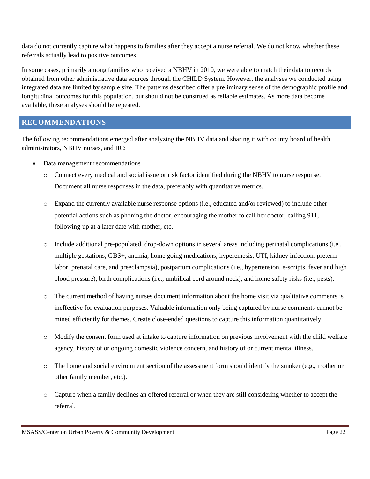data do not currently capture what happens to families after they accept a nurse referral. We do not know whether these referrals actually lead to positive outcomes.

In some cases, primarily among families who received a NBHV in 2010, we were able to match their data to records obtained from other administrative data sources through the CHILD System. However, the analyses we conducted using integrated data are limited by sample size. The patterns described offer a preliminary sense of the demographic profile and longitudinal outcomes for this population, but should not be construed as reliable estimates. As more data become available, these analyses should be repeated.

#### **RECOMMENDATIONS**

The following recommendations emerged after analyzing the NBHV data and sharing it with county board of health administrators, NBHV nurses, and IIC:

- Data management recommendations
	- o Connect every medical and social issue or risk factor identified during the NBHV to nurse response. Document all nurse responses in the data, preferably with quantitative metrics.
	- o Expand the currently available nurse response options (i.e., educated and/or reviewed) to include other potential actions such as phoning the doctor, encouraging the mother to call her doctor, calling 911, following-up at a later date with mother, etc.
	- o Include additional pre-populated, drop-down options in several areas including perinatal complications (i.e., multiple gestations, GBS+, anemia, home going medications, hyperemesis, UTI, kidney infection, preterm labor, prenatal care, and preeclampsia), postpartum complications (i.e., hypertension, e-scripts, fever and high blood pressure), birth complications (i.e., umbilical cord around neck), and home safety risks (i.e., pests).
	- o The current method of having nurses document information about the home visit via qualitative comments is ineffective for evaluation purposes. Valuable information only being captured by nurse comments cannot be mined efficiently for themes. Create close-ended questions to capture this information quantitatively.
	- o Modify the consent form used at intake to capture information on previous involvement with the child welfare agency, history of or ongoing domestic violence concern, and history of or current mental illness.
	- o The home and social environment section of the assessment form should identify the smoker (e.g., mother or other family member, etc.).
	- o Capture when a family declines an offered referral or when they are still considering whether to accept the referral.